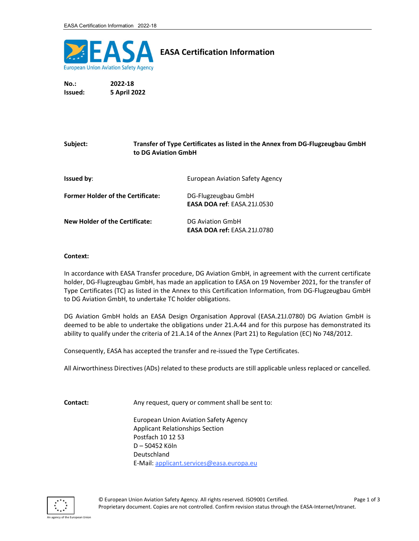

## EASA Certification Information

No.: 2022-18 Issued: 5 April 2022

## Subject: Transfer of Type Certificates as listed in the Annex from DG-Flugzeugbau GmbH to DG Aviation GmbH **Issued by:** European Aviation Safety Agency

| <b>Former Holder of the Certificate:</b> | DG-Flugzeugbau GmbH                |
|------------------------------------------|------------------------------------|
|                                          | <b>EASA DOA ref: EASA.21J.0530</b> |
| <b>New Holder of the Certificate:</b>    | <b>DG Aviation GmbH</b>            |
|                                          | <b>EASA DOA ref: EASA.21J.0780</b> |

## Context:

In accordance with EASA Transfer procedure, DG Aviation GmbH, in agreement with the current certificate holder, DG-Flugzeugbau GmbH, has made an application to EASA on 19 November 2021, for the transfer of Type Certificates (TC) as listed in the Annex to this Certification Information, from DG-Flugzeugbau GmbH to DG Aviation GmbH, to undertake TC holder obligations.

DG Aviation GmbH holds an EASA Design Organisation Approval (EASA.21J.0780) DG Aviation GmbH is deemed to be able to undertake the obligations under 21.A.44 and for this purpose has demonstrated its ability to qualify under the criteria of 21.A.14 of the Annex (Part 21) to Regulation (EC) No 748/2012.

Consequently, EASA has accepted the transfer and re-issued the Type Certificates.

All Airworthiness Directives (ADs) related to these products are still applicable unless replaced or cancelled.

Contact: Any request, query or comment shall be sent to:

 European Union Aviation Safety Agency Applicant Relationships Section Postfach 10 12 53 D – 50452 Köln Deutschland E-Mail: applicant.services@easa.europa.eu

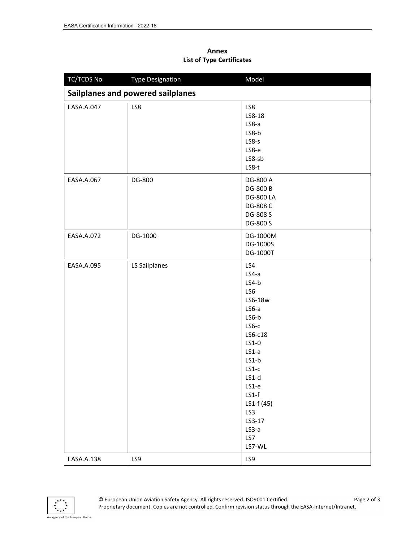## Annex List of Type Certificates

| TC/TCDS No | <b>Type Designation</b>           | Model                                                                                                                                                                                                                   |
|------------|-----------------------------------|-------------------------------------------------------------------------------------------------------------------------------------------------------------------------------------------------------------------------|
|            | Sailplanes and powered sailplanes |                                                                                                                                                                                                                         |
| EASA.A.047 | LS8                               | LS8<br>LS8-18<br>$LS8-a$<br>LS8-b<br>LS8-s<br>LS8-e<br>LS8-sb<br>LS8-t                                                                                                                                                  |
| EASA.A.067 | DG-800                            | DG-800 A<br>DG-800 B<br><b>DG-800 LA</b><br>DG-808 C<br>DG-808 S<br>DG-800 S                                                                                                                                            |
| EASA.A.072 | DG-1000                           | DG-1000M<br>DG-1000S<br>DG-1000T                                                                                                                                                                                        |
| EASA.A.095 | LS Sailplanes                     | LS4<br>$LS4-a$<br>$LS4-b$<br>LS6<br>LS6-18w<br>$LS6-a$<br>LS6-b<br>$LS6-c$<br>LS6-c18<br>LS1-0<br>$LS1-a$<br>$LS1-b$<br>$LS1-c$<br>LS1-d<br>LS1-e<br>$LS1-f$<br>LS1-f (45)<br>LS3<br>LS3-17<br>$LS3-a$<br>LS7<br>LS7-WL |
| EASA.A.138 | LS9                               | LS9                                                                                                                                                                                                                     |